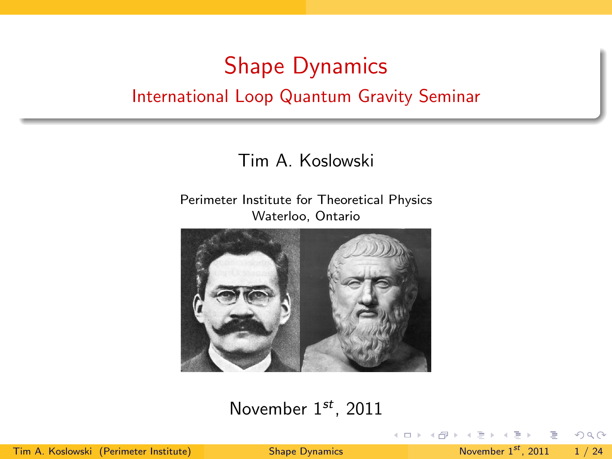# Shape Dynamics International Loop Quantum Gravity Seminar

### Tim A. Koslowski

#### Perimeter Institute for Theoretical Physics Waterloo, Ontario



#### November  $1^{st}$ , 2011

Tim A. Koslowski (Perimeter Institute) [Shape Dynamics](#page-23-0) November 1st, 2011 1 / 24

<span id="page-0-0"></span> $\equiv$   $\cap$   $\alpha$ 

イロト イ部 トイミト イモト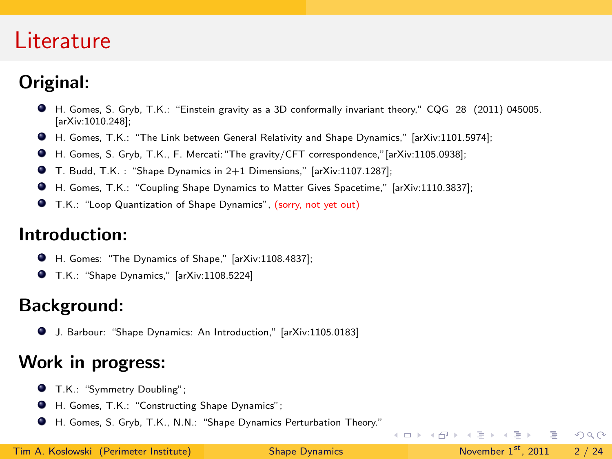### Literature

### Original:

- H. Gomes, S. Gryb, T.K.: "Einstein gravity as a 3D conformally invariant theory," CQG 28 (2011) 045005. [arXiv:1010.248];
- H. Gomes, T.K.: "The Link between General Relativity and Shape Dynamics," [arXiv:1101.5974];
- H. Gomes, S. Gryb, T.K., F. Mercati:"The gravity/CFT correspondence,"[arXiv:1105.0938];
- T. Budd, T.K. : "Shape Dynamics in 2+1 Dimensions," [arXiv:1107.1287];
- H. Gomes, T.K.: "Coupling Shape Dynamics to Matter Gives Spacetime," [arXiv:1110.3837];
- T.K.: "Loop Quantization of Shape Dynamics", (sorry, not yet out)

#### Introduction:

- H. Gomes: "The Dynamics of Shape," [arXiv:1108.4837];
- T.K.: "Shape Dynamics," [arXiv:1108.5224]

### Background:

J. Barbour: "Shape Dynamics: An Introduction," [arXiv:1105.0183]

### Work in progress:

- **O** T.K.: "Symmetry Doubling":
- H. Gomes, T.K.: "Constructing Shape Dynamics";
- H. Gomes, S. Gryb, T.K., N.N.: "Shape Dynamics Perturbation Theory."

 $\equiv$   $\cap$   $\alpha$ 

 $\left\{ \begin{array}{ccc} 1 & 0 & 0 \\ 0 & 1 & 0 \end{array} \right\}$  ,  $\left\{ \begin{array}{ccc} 0 & 0 & 0 \\ 0 & 0 & 0 \end{array} \right\}$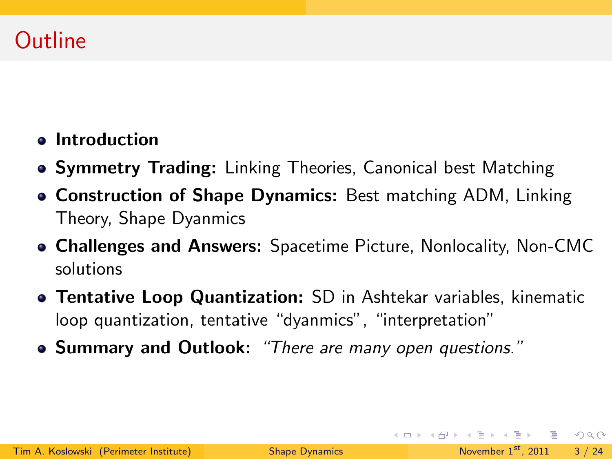### Outline

- **•** Introduction
- **Symmetry Trading:** Linking Theories, Canonical best Matching
- Construction of Shape Dynamics: Best matching ADM, Linking Theory, Shape Dyanmics
- Challenges and Answers: Spacetime Picture, Nonlocality, Non-CMC solutions
- **Tentative Loop Quantization:** SD in Ashtekar variables, kinematic loop quantization, tentative "dyanmics", "interpretation"
- Summary and Outlook: "There are many open questions."

**KED KARD KED KED E VOOR**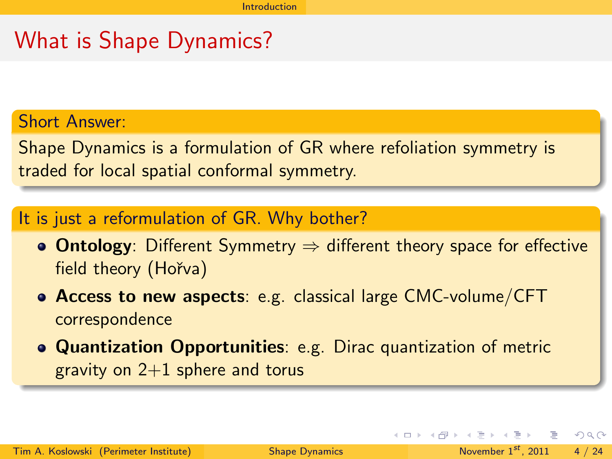### What is Shape Dynamics?

#### Short Answer:

Shape Dynamics is a formulation of GR where refoliation symmetry is traded for local spatial conformal symmetry.

#### It is just a reformulation of GR. Why bother?

- **Ontology**: Different Symmetry  $\Rightarrow$  different theory space for effective field theory (Hořva)
- Access to new aspects: e.g. classical large CMC-volume/CFT correspondence
- Quantization Opportunities: e.g. Dirac quantization of metric gravity on  $2+1$  sphere and torus

<span id="page-3-0"></span> $QQ$ 

 $\left\{ \begin{array}{ccc} \pm & \pm & \pm \end{array} \right.$  and  $\left\{ \begin{array}{ccc} \pm & \pm \end{array} \right.$  and  $\left\{ \begin{array}{ccc} \pm & \pm \end{array} \right.$  and  $\left\{ \begin{array}{ccc} \pm & \pm \end{array} \right.$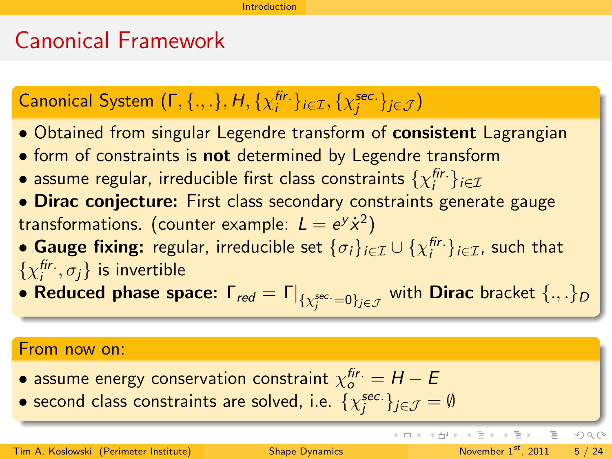### Canonical Framework

# Canonical System  $(\mathsf{\Gamma}, \{.,.\}, \mathsf{H}, \{\chi^{\mathsf{fir.}}_i\}_{i \in \mathcal{I}}, \{\chi^{\mathsf{sec.}}_j\}_{j \in \mathcal{J}})$

- Obtained from singular Legendre transform of **consistent** Lagrangian
- form of constraints is **not** determined by Legendre transform
- $\bullet$  assume regular, irreducible first class constraints  $\{\chi_i^{\mathit{fir.}}\}_{i\in\mathcal{I}}$
- Dirac conjecture: First class secondary constraints generate gauge transformations. (counter example:  $L = e^y \dot{x}^2$ )
- Gauge fixing: regular, irreducible set  $\{\sigma_i\}_{i\in\mathcal{I}}\cup\{\chi_i^{\mathit{fir.}}\}_{i\in\mathcal{I}}$ , such that  $\{\chi^{\mathsf{fir.}}_i, \sigma_j\}$  is invertible
- $\bullet$  Reduced phase space:  $\mathsf{\Gamma}_{red} = \mathsf{\Gamma}|_{\{\chi_j^{\sec} = 0\}_{j \in \mathcal{J}}}$  with Dirac bracket  $\{.,.\}_D$

#### From now on:

- $\bullet$  assume energy conservation constraint  $\chi_o^{fir.}=H-E$
- $\bullet$  second class constraints are solved, i.e.  $\{\chi_j^{\text{sec.}}\}_{j\in\mathcal{J}}=\emptyset$

イロト イ母 ト イヨト

<span id="page-4-0"></span> $QQQ$ 

Þ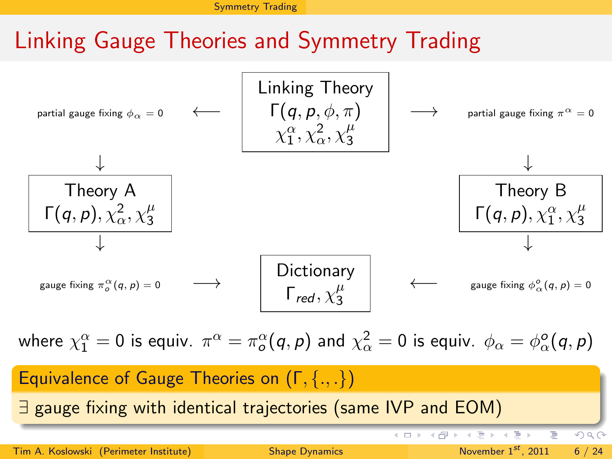[Symmetry Trading](#page-5-0)

### Linking Gauge Theories and Symmetry Trading



<span id="page-5-0"></span>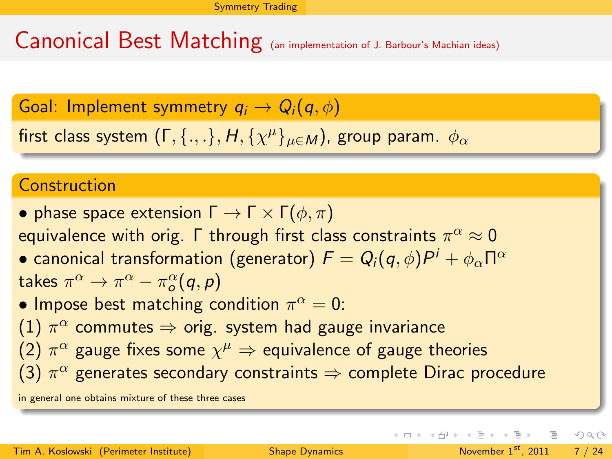Canonical Best Matching (an implementation of J. Barbour's Machian ideas)

Goal: Implement symmetry  $q_i \to Q_i(q, \phi)$ 

first class system  $(\mathsf{\Gamma},\{.,.\},\mathcal{H},\{\chi^\mu\}_{\mu\in\mathcal{M}})$ , group param.  $\phi_\alpha$ 

### Construction

• phase space extension  $\Gamma \to \Gamma \times \Gamma(\phi, \pi)$ equivalence with orig.  $\mathsf \Gamma$  through first class constraints  $\pi^{\alpha}\approx 0$  $\bullet$  canonical transformation (generator)  $\mathcal{F}=\mathcal{Q}_i(\bm{q},\phi)P^i+\phi_\alpha \Pi^\alpha$ takes  $\pi^{\alpha} \rightarrow \pi^{\alpha} - \pi^{\alpha}_{o} (\textit{q}, \textit{p})$ • Impose best matching condition  $\pi^{\alpha} = 0$ :  $(1)$   $\pi^{\alpha}$  commutes  $\Rightarrow$  orig. system had gauge invariance (2)  $\pi^{\alpha}$  gauge fixes some  $\chi^{\mu} \Rightarrow$  equivalence of gauge theories

(3)  $\pi^\alpha$  generates secondary constraints  $\Rightarrow$  complete Dirac procedure

in general one obtains mixture of these three cases

<span id="page-6-0"></span>イロト イ母 トイミト イミト ニヨー りんぴ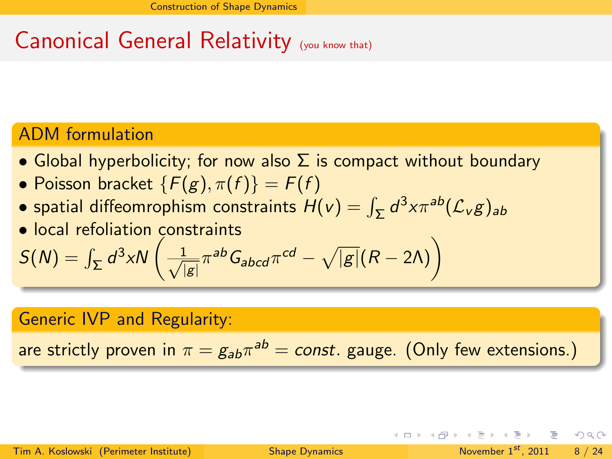# Canonical General Relativity (you know that)

### ADM formulation

- Global hyperbolicity; for now also  $\Sigma$  is compact without boundary
- Poisson bracket  $\{F(g), \pi(f)\} = F(f)$
- spatial diffeomrophism constraints  $H(v) = \int_{\Sigma} d^3 x \pi^{ab} (\mathcal{L}_v g)_{ab}$
- local refoliation constraints

$$
S(N) = \int_{\Sigma} d^3x N \left( \frac{1}{\sqrt{|g|}} \pi^{ab} G_{abcd} \pi^{cd} - \sqrt{|g|} (R - 2\Lambda) \right)
$$

#### Generic IVP and Regularity:

are strictly proven in  $\pi=g_{ab}\pi^{ab}=const.$  gauge. (Only few extensions.)

<span id="page-7-0"></span>イロト イ母 トイミト イミト ニヨー りんぴ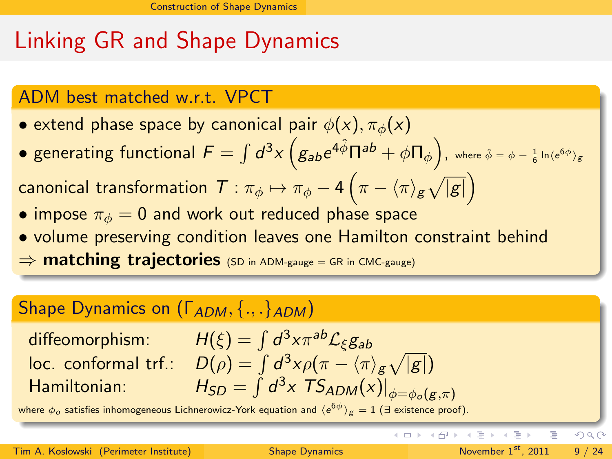# Linking GR and Shape Dynamics

### ADM best matched w.r.t. VPCT

• extend phase space by canonical pair  $\phi(x)$ ,  $\pi_{\phi}(x)$ 

 $\bullet$  generating functional  $F=\int d^3x \left(g_{ab}e^{4\hat{\phi}}\Pi^{ab}+\phi\Pi_{\phi}\right)$ , where  $\hat{\phi}=\phi-\frac{1}{6}\ln\langle e^{6\phi}\rangle_g$ 

canonical transformation  $\mathcal{T}:\pi_{\phi}\mapsto \pi_{\phi}-4\left(\pi-\langle\pi\rangle_{\mathcal{g}}\sqrt{|\mathcal{g}|}\right)$ 

- impose  $\pi_{\phi} = 0$  and work out reduced phase space
- volume preserving condition leaves one Hamilton constraint behind ⇒ matching trajectories (SD in ADM-gauge = GR in CMC-gauge)

### Shape Dynamics on  $(\Gamma_{ADM}, \{.,.\}_{ADM})$

diffeomorphism:  $H(\xi) = \int d^3x \pi^{ab} \mathcal{L}_\xi g_{ab}$ loc. conformal trf.:  $D(\rho)=\int d^3x \rho (\pi-\langle\pi\rangle_g\sqrt{|g|})$ Hamiltonian:  $\int d^3x$  TS<sub>ADM</sub>(x) $\left| \phi=\phi_o(g,\pi) \right|$ 

where  $\phi_o$  satisfies inhomogeneous Lichnerowicz-York equation and  $\langle {\rm e}^{6\phi}\rangle_{\rm g}=1$  (∃ existence proof).

э

<span id="page-8-0"></span> $\Omega$ 

イロト イ部 トイモト イモト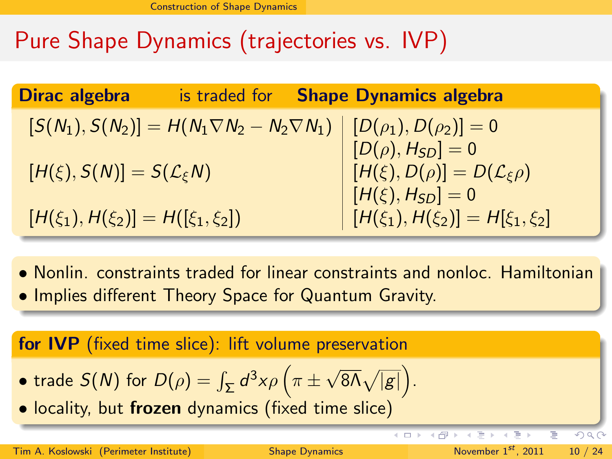# Pure Shape Dynamics (trajectories vs. IVP)

| Dirac algebra                              | is traded for | <b>Shape Dynamics algebra</b>                                                                    |
|--------------------------------------------|---------------|--------------------------------------------------------------------------------------------------|
|                                            |               | $[S(N_1), S(N_2)] = H(N_1 \nabla N_2 - N_2 \nabla N_1)   [D(\rho_1), D(\rho_2)] = 0$             |
|                                            |               | $[D(\rho), H_{SD}] = 0$                                                                          |
| $[H(\xi), S(N)] = S(\mathcal{L}_{\xi}N)$   |               | $\begin{cases} [H(\xi), D(\rho)] = D(\mathcal{L}_{\xi}\rho) \\ [H(\xi), H_{SD}] = 0 \end{cases}$ |
| $[H(\xi_1), H(\xi_2)] = H([\xi_1, \xi_2])$ |               | $H(\xi_1), H(\xi_2) = H[\xi_1, \xi_2]$                                                           |
|                                            |               |                                                                                                  |

- Nonlin. constraints traded for linear constraints and nonloc. Hamiltonian
- Implies different Theory Space for Quantum Gravity.

for IVP (fixed time slice): lift volume preservation

- $\bullet$  trade  $S(N)$  for  $D(\rho)=\int_{\Sigma}d^3x \rho\left(\pi\pm\right)$  $\sqrt{8\Lambda}\sqrt{|g|}$ .
- locality, but frozen dynamics (fixed time slice)

÷  $\vert \cdot \vert$  <span id="page-9-0"></span> $\Omega$ 

(□ ) (母 )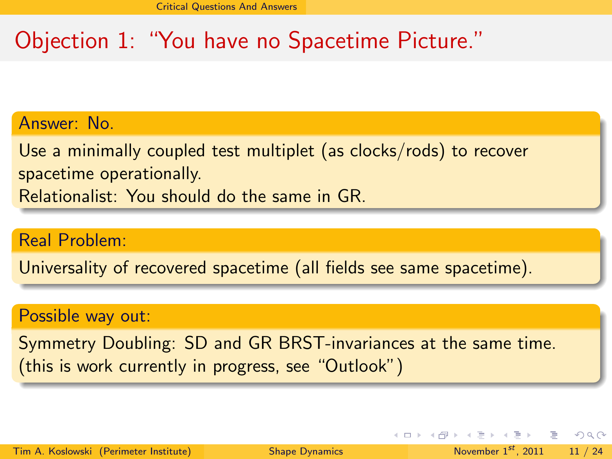# Objection 1: "You have no Spacetime Picture."

Answer: No.

Use a minimally coupled test multiplet (as clocks/rods) to recover spacetime operationally. Relationalist: You should do the same in GR.

Real Problem:

Universality of recovered spacetime (all fields see same spacetime).

#### Possible way out:

Symmetry Doubling: SD and GR BRST-invariances at the same time. (this is work currently in progress, see "Outlook")

<span id="page-10-0"></span> $QQ$ 

 $\left\{ \begin{array}{ccc} \pm & \pm & \pm \end{array} \right.$  and  $\left\{ \begin{array}{ccc} \pm & \pm \end{array} \right.$  and  $\left\{ \begin{array}{ccc} \pm & \pm \end{array} \right.$  and  $\left\{ \begin{array}{ccc} \pm & \pm \end{array} \right.$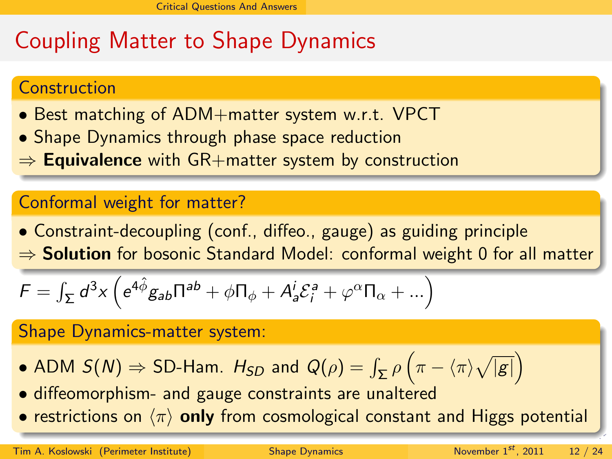# Coupling Matter to Shape Dynamics

### Construction

- Best matching of ADM+matter system w.r.t. VPCT
- Shape Dynamics through phase space reduction
- $\Rightarrow$  Equivalence with GR+matter system by construction

### Conformal weight for matter?

• Constraint-decoupling (conf., diffeo., gauge) as guiding principle  $\Rightarrow$  Solution for bosonic Standard Model: conformal weight 0 for all matter

$$
\mathcal{F} = \int_{\Sigma} d^3x \left( e^{4\hat{\phi}} g_{ab} \Pi^{ab} + \phi \Pi_{\phi} + A^i_a \mathcal{E}^a_i + \varphi^{\alpha} \Pi_{\alpha} + \ldots \right)
$$

#### Shape Dynamics-matter system:

- $\bullet$  ADM  $S(N) \Rightarrow {\rm SD}$ -Ham.  $H_{SD}$  and  $Q(\rho) = \int_{\Sigma} \rho \left(\pi \langle \pi \rangle \sqrt{ |g| }\right)$
- diffeomorphism- and gauge constraints are unaltered
- <span id="page-11-0"></span>• restrictions on  $\langle \pi \rangle$  only from cosmological constant and Higgs potential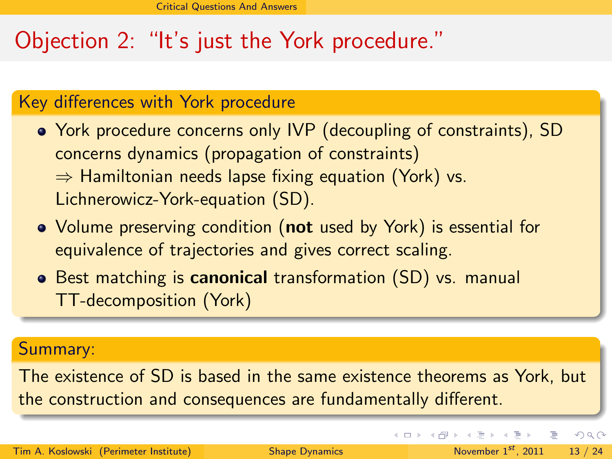# Objection 2: "It's just the York procedure."

### Key differences with York procedure

- York procedure concerns only IVP (decoupling of constraints), SD concerns dynamics (propagation of constraints)  $\Rightarrow$  Hamiltonian needs lapse fixing equation (York) vs. Lichnerowicz-York-equation (SD).
- Volume preserving condition (not used by York) is essential for equivalence of trajectories and gives correct scaling.
- **•** Best matching is **canonical** transformation (SD) vs. manual TT-decomposition (York)

#### Summary:

The existence of SD is based in the same existence theorems as York, but the construction and consequences are fundamentally different.

<span id="page-12-0"></span> $QQ$ 

 $A \cup B \rightarrow A \oplus B \rightarrow A \oplus B \rightarrow A \oplus B \rightarrow A \oplus B$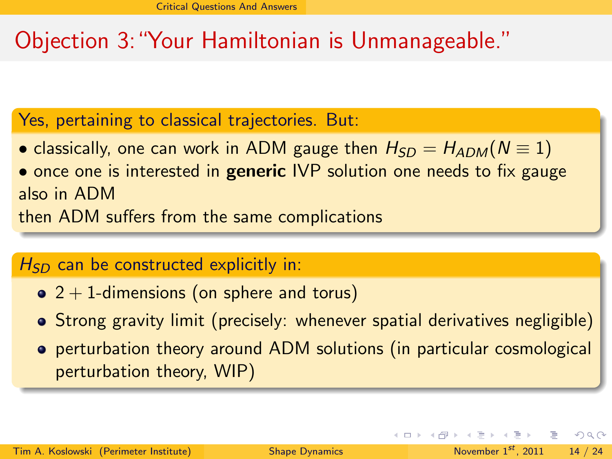# Objection 3:"Your Hamiltonian is Unmanageable."

### Yes, pertaining to classical trajectories. But:

- classically, one can work in ADM gauge then  $H_{SD} = H_{ADM}(N \equiv 1)$
- once one is interested in **generic** IVP solution one needs to fix gauge also in ADM

then ADM suffers from the same complications

### $H_{SD}$  can be constructed explicitly in:

- $\bullet$  2 + 1-dimensions (on sphere and torus)
- Strong gravity limit (precisely: whenever spatial derivatives negligible)
- perturbation theory around ADM solutions (in particular cosmological perturbation theory, WIP)

<span id="page-13-0"></span> $QQ$ 

 $A \equiv 1 \pmod{2} \pmod{2} \pmod{2} \pmod{2}$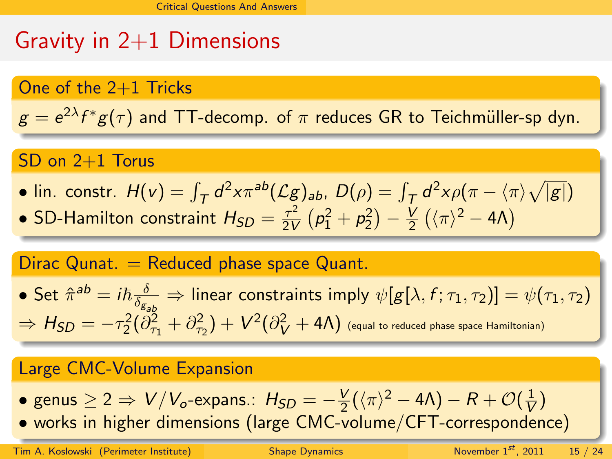# Gravity in  $2+1$  Dimensions

#### One of the 2+1 Tricks

 $g = e^{2\lambda} f^* g(\tau)$  and TT-decomp. of  $\pi$  reduces GR to Teichmüller-sp dyn.

### SD on 2+1 Torus

- lin. constr.  $H(v) = \int_T d^2x \pi^{ab} (\mathcal{L}g)_{ab}$ ,  $D(\rho) = \int_T d^2x \rho(\pi \langle \pi \rangle \sqrt{|g|})$
- SD-Hamilton constraint  $H_{SD} = \frac{\tau^2}{2V}$  $\frac{\tau^2}{2V}(\rho_1^2+\rho_2^2)-\frac{V}{2}$  $\frac{V}{2}(\langle \pi \rangle^2 - 4\Lambda)$

### Dirac Qunat.  $=$  Reduced phase space Quant.

• Set  $\hat{\pi}^{ab} = i\hbar \frac{\delta}{\delta z}$  $\frac{\partial}{\partial s_{\mathcal{S}_{ab}}}$   $\Rightarrow$  linear constraints imply  $\psi[g[\lambda,f;\tau_1,\tau_2)] = \psi(\tau_1,\tau_2)$  $\Rightarrow H_{SD}=-\tau_2^2(\partial^2_{\tau_1}+\partial^2_{\tau_2})+V^2(\partial^2_V+4\Lambda)$  (equal to reduced phase space Hamiltonian)

#### Large CMC-Volume Expansion

- $\bullet$  genus  $\geq 2 \Rightarrow V/V_o$ -expans.:  $H_{SD} = -\frac{V}{2}$  $\frac{V}{2}(\langle \pi \rangle^2 - 4 \Lambda) - R + \mathcal{O}(\frac{1}{V})$  $\frac{1}{V}$
- <span id="page-14-0"></span>• works in higher dimensions (large CMC-volum[e/](#page-13-0)[CF](#page-15-0)[T](#page-13-0)[-c](#page-14-0)[o](#page-15-0)[rr](#page-9-0)[e](#page-10-0)[s](#page-15-0)[p](#page-16-0)[o](#page-9-0)[n](#page-10-0)[d](#page-15-0)[e](#page-16-0)[nc](#page-0-0)[e\)](#page-23-0)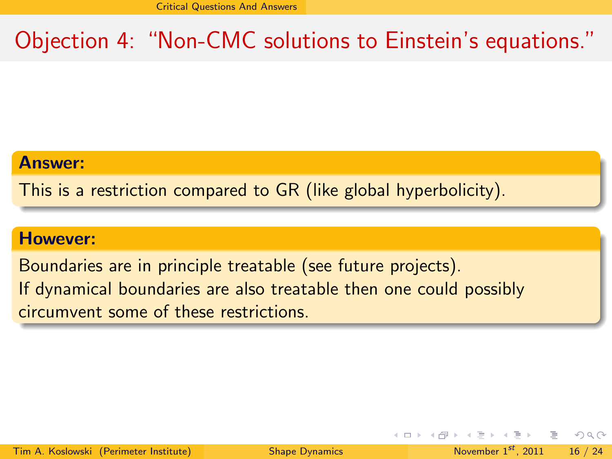# Objection 4: "Non-CMC solutions to Einstein's equations."

#### Answer:

This is a restriction compared to GR (like global hyperbolicity).

#### However:

Boundaries are in principle treatable (see future projects). If dynamical boundaries are also treatable then one could possibly circumvent some of these restrictions.

<span id="page-15-0"></span>**KED KARD KED KED E VOOR**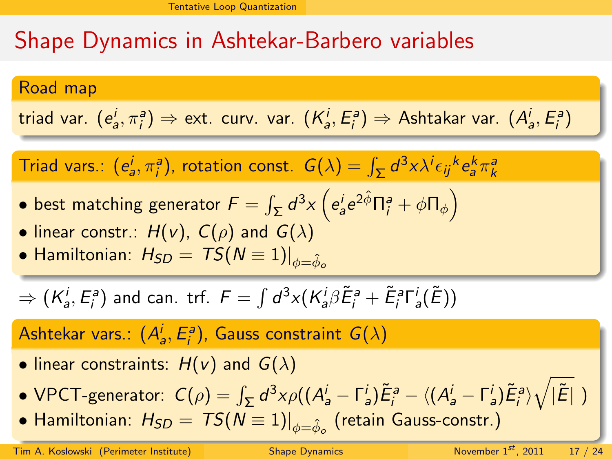# Shape Dynamics in Ashtekar-Barbero variables

#### Road map

triad var. 
$$
(e_a^i, \pi_i^a) \Rightarrow
$$
 ext. curv. var.  $(K_a^i, E_i^a) \Rightarrow$  Ashtakar var.  $(A_a^i, E_i^a)$ 

Triad vars.:  $(e_a^j, \pi_i^a)$ , rotation const.  $G(\lambda) = \int_{\Sigma} d^3x \lambda^j \epsilon_{ij}{}^k e_a^k \pi_k^a$ 

- $\bullet$  best matching generator  $\mathcal{F}=\int_{\mathsf{\Sigma}}d^3x\left(e_a^i e^{2\hat{\phi}}\Pi_i^a+\phi\Pi_{\phi}\right)$
- linear constr.:  $H(v)$ ,  $C(\rho)$  and  $G(\lambda)$
- Hamiltonian:  $H_{SD} = TS(N \equiv 1)|_{\phi=\hat{\phi}}$ .

$$
\Rightarrow (K_a^i, E_i^a) \text{ and can. } \text{trf. } F = \int d^3x (K_a^i \beta \tilde{E}_i^a + \tilde{E}_i^a \Gamma_a^i(\tilde{E}))
$$

### Ashtekar vars.:  $(A_a^j, E_i^a)$ , Gauss constraint  $G(\lambda)$

- linear constraints:  $H(v)$  and  $G(\lambda)$
- <code>VPCT-generator:  $C(\rho)=\int_{\Sigma}d^3x \rho((A_a^i-\Gamma_a^i)\tilde{E}_i^a-\langle(A_a^i-\Gamma_a^i)\tilde{E}_i^a\rangle\sqrt{|\tilde{E}|}$  )</code>
- <span id="page-16-0"></span> $\bullet$  Hamilt[o](#page-17-0)[n](#page-15-0)ian:  $H_{SD}=\left.TS(N\equiv1)\right|_{\phi=\hat{\phi}_o}$  $H_{SD}=\left.TS(N\equiv1)\right|_{\phi=\hat{\phi}_o}$  $H_{SD}=\left.TS(N\equiv1)\right|_{\phi=\hat{\phi}_o}$  (retain [G](#page-15-0)a[us](#page-17-0)[s](#page-15-0)[-c](#page-16-0)on[st](#page-16-0)r[.\)](#page-21-0)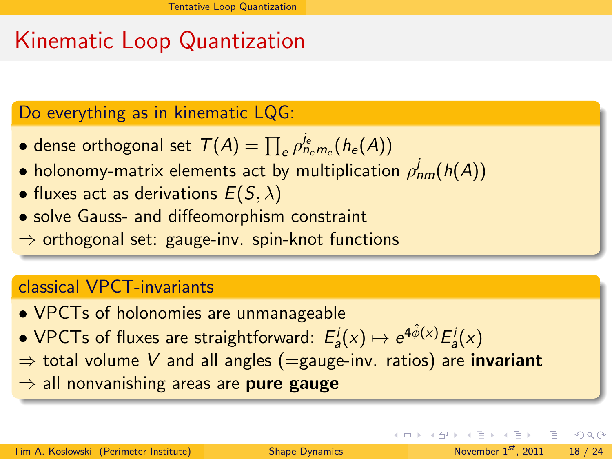# Kinematic Loop Quantization

### Do everything as in kinematic LQG:

- dense orthogonal set  $\mathcal{T}(A) = \prod_{e} \rho_{n_{e}m_{e}}^{j_{e}}(h_{e}(A))$
- $\bullet$  holonomy-matrix elements act by multiplication  $\rho^{j}_{nm}(h(A))$
- fluxes act as derivations  $E(S, \lambda)$
- solve Gauss- and diffeomorphism constraint

 $\Rightarrow$  orthogonal set: gauge-inv. spin-knot functions

### classical VPCT-invariants

- VPCTs of holonomies are unmanageable
- $\bullet$  VPCTs of fluxes are straightforward:  $E^i_a(x) \mapsto e^{4 \hat{\phi}(x)} E^i_a(x)$
- $\Rightarrow$  total volume V and all angles (=gauge-inv. ratios) are **invariant**
- $\Rightarrow$  all nonvanishing areas are **pure gauge**

<span id="page-17-0"></span> $\Omega$ 

 $A \cup B \rightarrow A \oplus B \rightarrow A \oplus B \rightarrow A \oplus B \rightarrow A \oplus B$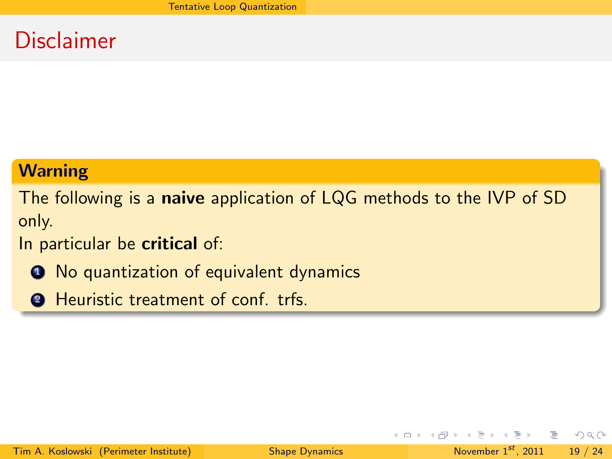### Disclaimer

#### **Warning**

The following is a naive application of LQG methods to the IVP of SD only.

### In particular be critical of:

- **1** No quantization of equivalent dynamics
- **2** Heuristic treatment of conf. trfs.

E.

<span id="page-18-0"></span> $QQ$ 

医毛囊 医牙骨下的

∢ □ ▶ ⊣ n □ ▶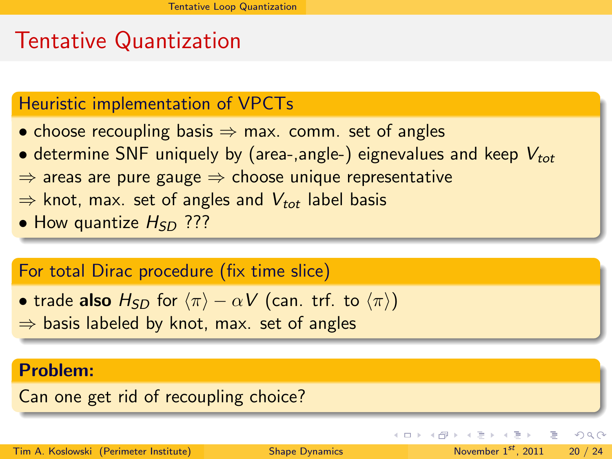### Tentative Quantization

### Heuristic implementation of VPCTs

- choose recoupling basis  $\Rightarrow$  max. comm. set of angles
- determine SNF uniquely by (area-,angle-) eignevalues and keep  $V_{tot}$
- $\Rightarrow$  areas are pure gauge  $\Rightarrow$  choose unique representative
- $\Rightarrow$  knot, max. set of angles and  $V_{tot}$  label basis
- How quantize  $H_{SD}$  ???

### For total Dirac procedure (fix time slice)

- trade also  $H_{SD}$  for  $\langle \pi \rangle \alpha V$  (can. trf. to  $\langle \pi \rangle$ )
- $\Rightarrow$  basis labeled by knot, max. set of angles

#### Problem:

Can one get rid of recoupling choice?

Tim A. Koslowski (Perimeter Institute) [Shape Dynamics](#page-0-0) November 1st, 2011 20 / 24

E.

<span id="page-19-0"></span> $QQ$ 

 $\left\{ \begin{array}{ccc} 1 & 0 & 0 \\ 0 & 1 & 0 \end{array} \right\}$  ,  $\left\{ \begin{array}{ccc} 0 & 0 & 0 \\ 0 & 0 & 0 \end{array} \right\}$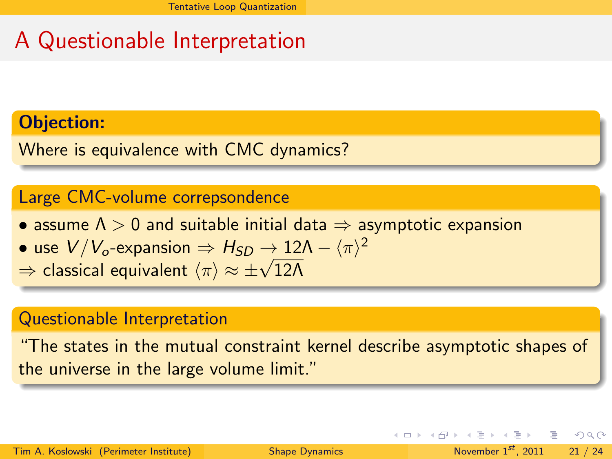# A Questionable Interpretation

### Objection:

Where is equivalence with CMC dynamics?

### Large CMC-volume correpsondence

- assume  $\Lambda > 0$  and suitable initial data  $\Rightarrow$  asymptotic expansion
- $\bullet$  use  $V/V_o$ -expansion  $\Rightarrow H_{SD} \rightarrow 12 \Lambda \langle \pi \rangle^2$
- use *v* / *v*<sub>o</sub>-expansion  $\Rightarrow$  *n*<sub>SD</sub>  $\rightarrow$  12.<br> $\Rightarrow$  classical equivalent  $\langle \pi \rangle \approx \pm \sqrt{12\Lambda}$

#### Questionable Interpretation

"The states in the mutual constraint kernel describe asymptotic shapes of the universe in the large volume limit."

<span id="page-20-0"></span> $QQ$ 

지수는 지금 아이를 지키는 것이다.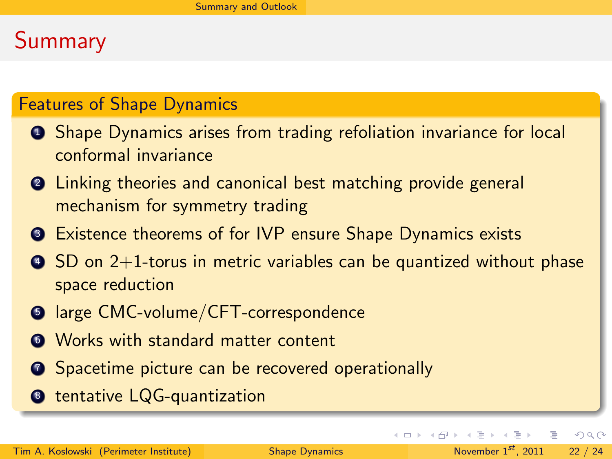# Summary

### Features of Shape Dynamics

- **1** Shape Dynamics arises from trading refoliation invariance for local conformal invariance
- <sup>2</sup> Linking theories and canonical best matching provide general mechanism for symmetry trading
- <sup>3</sup> Existence theorems of for IVP ensure Shape Dynamics exists
- $\bullet$  SD on 2+1-torus in metric variables can be quantized without phase space reduction
- **5** large CMC-volume/CFT-correspondence
- **<sup>6</sup>** Works with standard matter content
- **2** Spacetime picture can be recovered operationally
- <sup>8</sup> tentative LQG-quantization

高

<span id="page-21-0"></span> $QQ$ 

 $\left\{ \begin{array}{ccc} 1 & 0 & 0 \\ 0 & 1 & 0 \end{array} \right\}$  ,  $\left\{ \begin{array}{ccc} 0 & 0 & 0 \\ 0 & 0 & 0 \end{array} \right\}$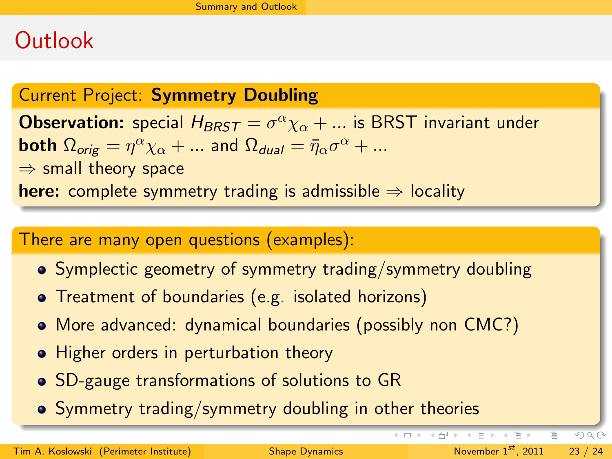### **Outlook**

### Current Project: Symmetry Doubling

**Observation:** special  $H_{BRST} = \sigma^\alpha \chi_\alpha + ...$  is BRST invariant under both  $\Omega_{\textit{orig}} = \eta^\alpha \chi_\alpha + ...$  and  $\Omega_{\textit{dual}} = \bar{\eta}_\alpha \sigma^\alpha + ...$  $\Rightarrow$  small theory space here: complete symmetry trading is admissible  $\Rightarrow$  locality

#### There are many open questions (examples):

- Symplectic geometry of symmetry trading/symmetry doubling
- Treatment of boundaries (e.g. isolated horizons)
- More advanced: dynamical boundaries (possibly non CMC?)
- Higher orders in perturbation theory
- SD-gauge transformations of solutions to GR
- Symmetry trading/symmetry doubling in other theories

<span id="page-22-0"></span> $PQQ$ 

B

イロト イ部 トイミト イミト